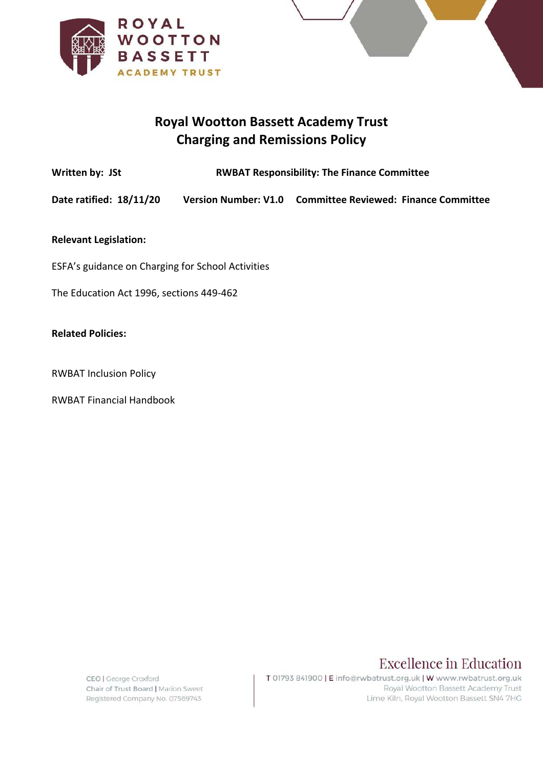

# **Royal Wootton Bassett Academy Trust Charging and Remissions Policy**

Written by: JSt **RWBAT Responsibility: The Finance Committee** 

**Date ratified: 18/11/20 Version Number: V1.0 Committee Reviewed: Finance Committee** 

**Relevant Legislation:** 

ESFA's guidance on Charging for School Activities

The Education Act 1996, sections 449-462

#### **Related Policies:**

RWBAT Inclusion Policy

RWBAT Financial Handbook

CEO | George Croxford Chair of Trust Board | Marion Sweet Registered Company No. 07569743

T 01793 841900 | E info@rwbatrust.org.uk | W www.rwbatrust.org.uk Royal Wootton Bassett Academy Trust Lime Kiln, Royal Wootton Bassett SN4 7HG

**Excellence in Education**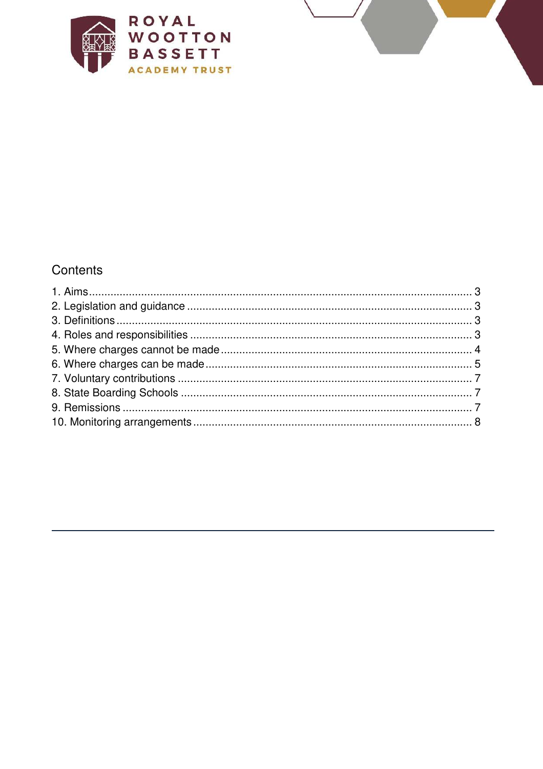

# Contents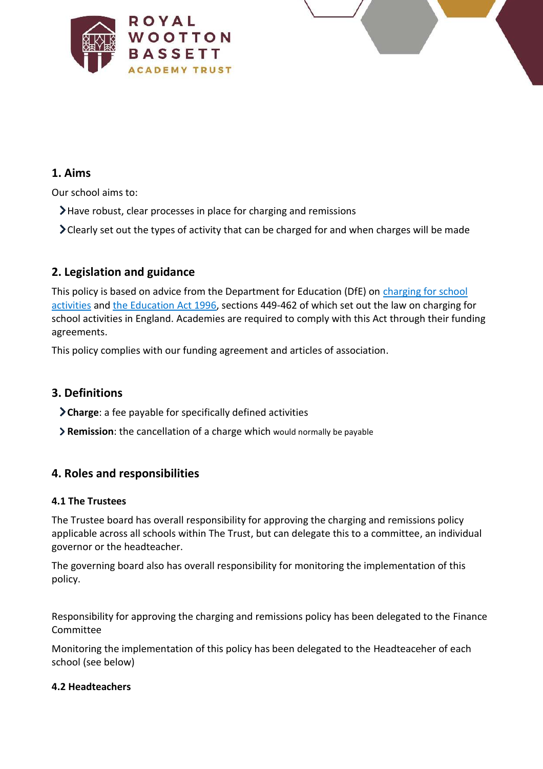<span id="page-2-0"></span>



## **1. Aims**

Our school aims to:

- Have robust, clear processes in place for charging and remissions
- Clearly set out the types of activity that can be charged for and when charges will be made

# <span id="page-2-1"></span>**2. Legislation and guidance**

This policy is based on advice from the Department for Education (DfE) on [charging for school](https://www.gov.uk/government/publications/charging-for-school-activities)  [activities](https://www.gov.uk/government/publications/charging-for-school-activities) an[d the Education Act 1996,](http://www.legislation.gov.uk/ukpga/1996/56/part/VI/chapter/III) sections 449-462 of which set out the law on charging for school activities in England. Academies are required to comply with this Act through their funding agreements.

This policy complies with our funding agreement and articles of association.

# <span id="page-2-2"></span>**3. Definitions**

- **Charge**: a fee payable for specifically defined activities
- **Remission**: the cancellation of a charge which would normally be payable

# <span id="page-2-3"></span>**4. Roles and responsibilities**

#### **4.1 The Trustees**

The Trustee board has overall responsibility for approving the charging and remissions policy applicable across all schools within The Trust, but can delegate this to a committee, an individual governor or the headteacher.

The governing board also has overall responsibility for monitoring the implementation of this policy.

Responsibility for approving the charging and remissions policy has been delegated to the Finance Committee

Monitoring the implementation of this policy has been delegated to the Headteaceher of each school (see below)

#### **4.2 Headteachers**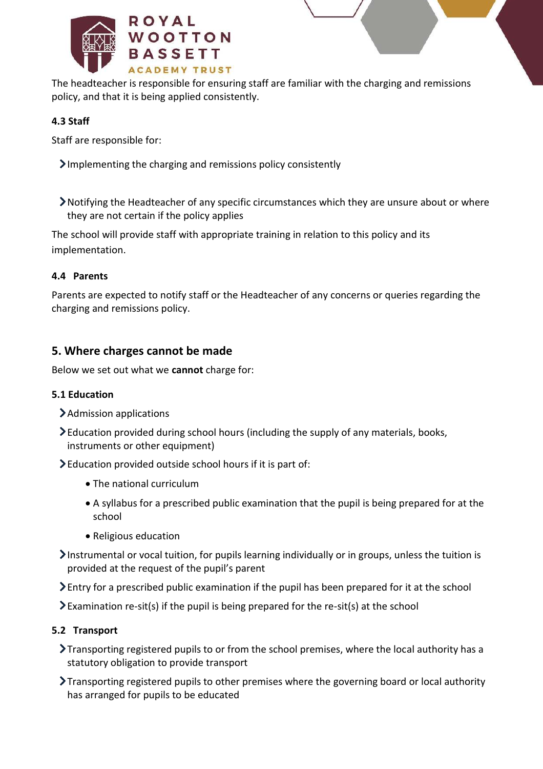

The headteacher is responsible for ensuring staff are familiar with the charging and remissions policy, and that it is being applied consistently.

## **4.3 Staff**

Staff are responsible for:

- $\sum$  Implementing the charging and remissions policy consistently
- Notifying the Headteacher of any specific circumstances which they are unsure about or where they are not certain if the policy applies

The school will provide staff with appropriate training in relation to this policy and its implementation.

### **4.4 Parents**

Parents are expected to notify staff or the Headteacher of any concerns or queries regarding the charging and remissions policy.

# <span id="page-3-0"></span>**5. Where charges cannot be made**

Below we set out what we **cannot** charge for:

### **5.1 Education**

- Admission applications
- Education provided during school hours (including the supply of any materials, books, instruments or other equipment)
- Education provided outside school hours if it is part of:
	- The national curriculum
	- A syllabus for a prescribed public examination that the pupil is being prepared for at the school
	- Religious education
- Instrumental or vocal tuition, for pupils learning individually or in groups, unless the tuition is provided at the request of the pupil's parent
- Entry for a prescribed public examination if the pupil has been prepared for it at the school
- $\sum$  Examination re-sit(s) if the pupil is being prepared for the re-sit(s) at the school

### **5.2 Transport**

- Transporting registered pupils to or from the school premises, where the local authority has a statutory obligation to provide transport
- Transporting registered pupils to other premises where the governing board or local authority has arranged for pupils to be educated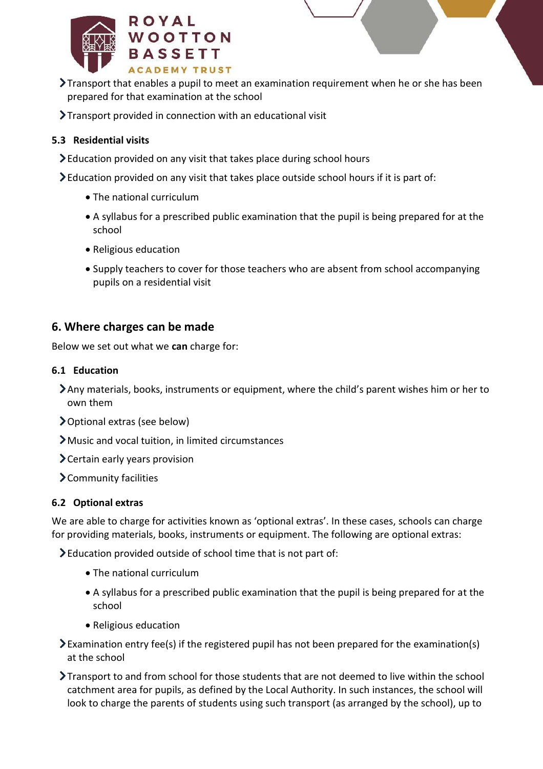

- Transport that enables a pupil to meet an examination requirement when he or she has been prepared for that examination at the school
- Transport provided in connection with an educational visit

## **5.3 Residential visits**

- Education provided on any visit that takes place during school hours
- Education provided on any visit that takes place outside school hours if it is part of:
	- The national curriculum
	- A syllabus for a prescribed public examination that the pupil is being prepared for at the school
	- Religious education
	- Supply teachers to cover for those teachers who are absent from school accompanying pupils on a residential visit

## <span id="page-4-0"></span>**6. Where charges can be made**

Below we set out what we **can** charge for:

#### **6.1 Education**

- Any materials, books, instruments or equipment, where the child's parent wishes him or her to own them
- Optional extras (see below)
- Music and vocal tuition, in limited circumstances
- Certain early years provision
- Community facilities

### **6.2 Optional extras**

We are able to charge for activities known as 'optional extras'. In these cases, schools can charge for providing materials, books, instruments or equipment. The following are optional extras:

Education provided outside of school time that is not part of:

- The national curriculum
- A syllabus for a prescribed public examination that the pupil is being prepared for at the school
- Religious education
- $\blacktriangleright$  Examination entry fee(s) if the registered pupil has not been prepared for the examination(s) at the school
- Transport to and from school for those students that are not deemed to live within the school catchment area for pupils, as defined by the Local Authority. In such instances, the school will look to charge the parents of students using such transport (as arranged by the school), up to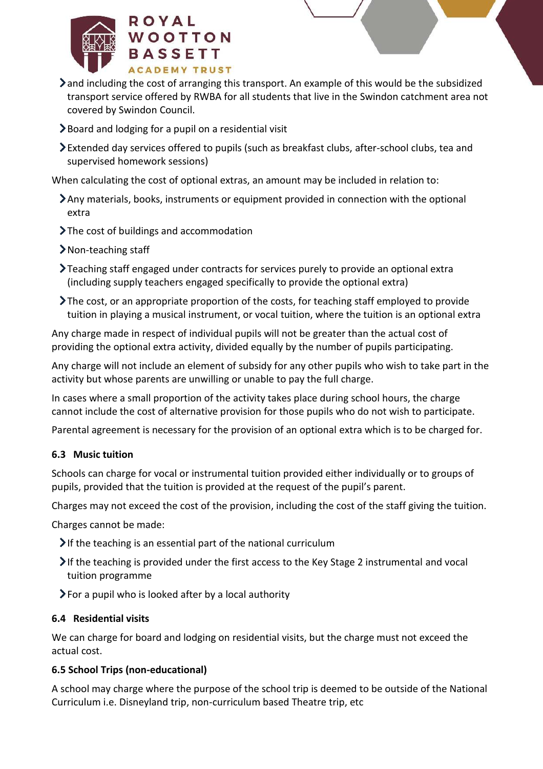



- and including the cost of arranging this transport. An example of this would be the subsidized transport service offered by RWBA for all students that live in the Swindon catchment area not covered by Swindon Council.
- $\blacktriangleright$  Board and lodging for a pupil on a residential visit
- Extended day services offered to pupils (such as breakfast clubs, after-school clubs, tea and supervised homework sessions)

When calculating the cost of optional extras, an amount may be included in relation to:

- Any materials, books, instruments or equipment provided in connection with the optional extra
- > The cost of buildings and accommodation
- > Non-teaching staff
- Teaching staff engaged under contracts for services purely to provide an optional extra (including supply teachers engaged specifically to provide the optional extra)
- The cost, or an appropriate proportion of the costs, for teaching staff employed to provide tuition in playing a musical instrument, or vocal tuition, where the tuition is an optional extra

Any charge made in respect of individual pupils will not be greater than the actual cost of providing the optional extra activity, divided equally by the number of pupils participating.

Any charge will not include an element of subsidy for any other pupils who wish to take part in the activity but whose parents are unwilling or unable to pay the full charge.

In cases where a small proportion of the activity takes place during school hours, the charge cannot include the cost of alternative provision for those pupils who do not wish to participate.

Parental agreement is necessary for the provision of an optional extra which is to be charged for.

# **6.3 Music tuition**

Schools can charge for vocal or instrumental tuition provided either individually or to groups of pupils, provided that the tuition is provided at the request of the pupil's parent.

Charges may not exceed the cost of the provision, including the cost of the staff giving the tuition.

Charges cannot be made:

- $\blacktriangleright$  If the teaching is an essential part of the national curriculum
- $\blacktriangleright$  If the teaching is provided under the first access to the Key Stage 2 instrumental and vocal tuition programme
- $\sum$  For a pupil who is looked after by a local authority

### **6.4 Residential visits**

We can charge for board and lodging on residential visits, but the charge must not exceed the actual cost.

### **6.5 School Trips (non-educational)**

A school may charge where the purpose of the school trip is deemed to be outside of the National Curriculum i.e. Disneyland trip, non-curriculum based Theatre trip, etc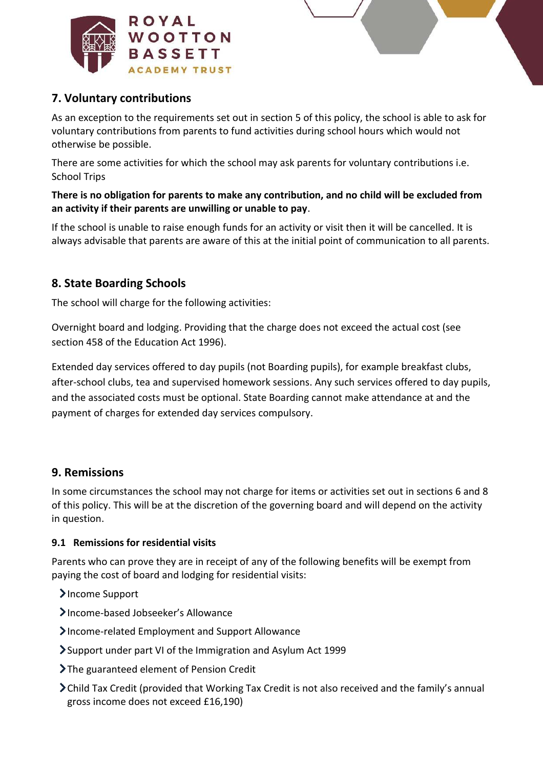

# <span id="page-6-0"></span>**7. Voluntary contributions**

As an exception to the requirements set out in section 5 of this policy, the school is able to ask for voluntary contributions from parents to fund activities during school hours which would not otherwise be possible.

There are some activities for which the school may ask parents for voluntary contributions i.e. School Trips

#### **There is no obligation for parents to make any contribution, and no child will be excluded from an activity if their parents are unwilling or unable to pay**.

If the school is unable to raise enough funds for an activity or visit then it will be cancelled. It is always advisable that parents are aware of this at the initial point of communication to all parents.

# <span id="page-6-1"></span>**8. State Boarding Schools**

The school will charge for the following activities:

Overnight board and lodging. Providing that the charge does not exceed the actual cost (see section 458 of the Education Act 1996).

Extended day services offered to day pupils (not Boarding pupils), for example breakfast clubs, after-school clubs, tea and supervised homework sessions. Any such services offered to day pupils, and the associated costs must be optional. State Boarding cannot make attendance at and the payment of charges for extended day services compulsory.

# <span id="page-6-2"></span>**9. Remissions**

In some circumstances the school may not charge for items or activities set out in sections 6 and 8 of this policy. This will be at the discretion of the governing board and will depend on the activity in question.

#### **9.1 Remissions for residential visits**

Parents who can prove they are in receipt of any of the following benefits will be exempt from paying the cost of board and lodging for residential visits:

- >Income Support
- Income-based Jobseeker's Allowance
- Income-related Employment and Support Allowance
- Support under part VI of the Immigration and Asylum Act 1999
- The guaranteed element of Pension Credit
- Child Tax Credit (provided that Working Tax Credit is not also received and the family's annual gross income does not exceed £16,190)